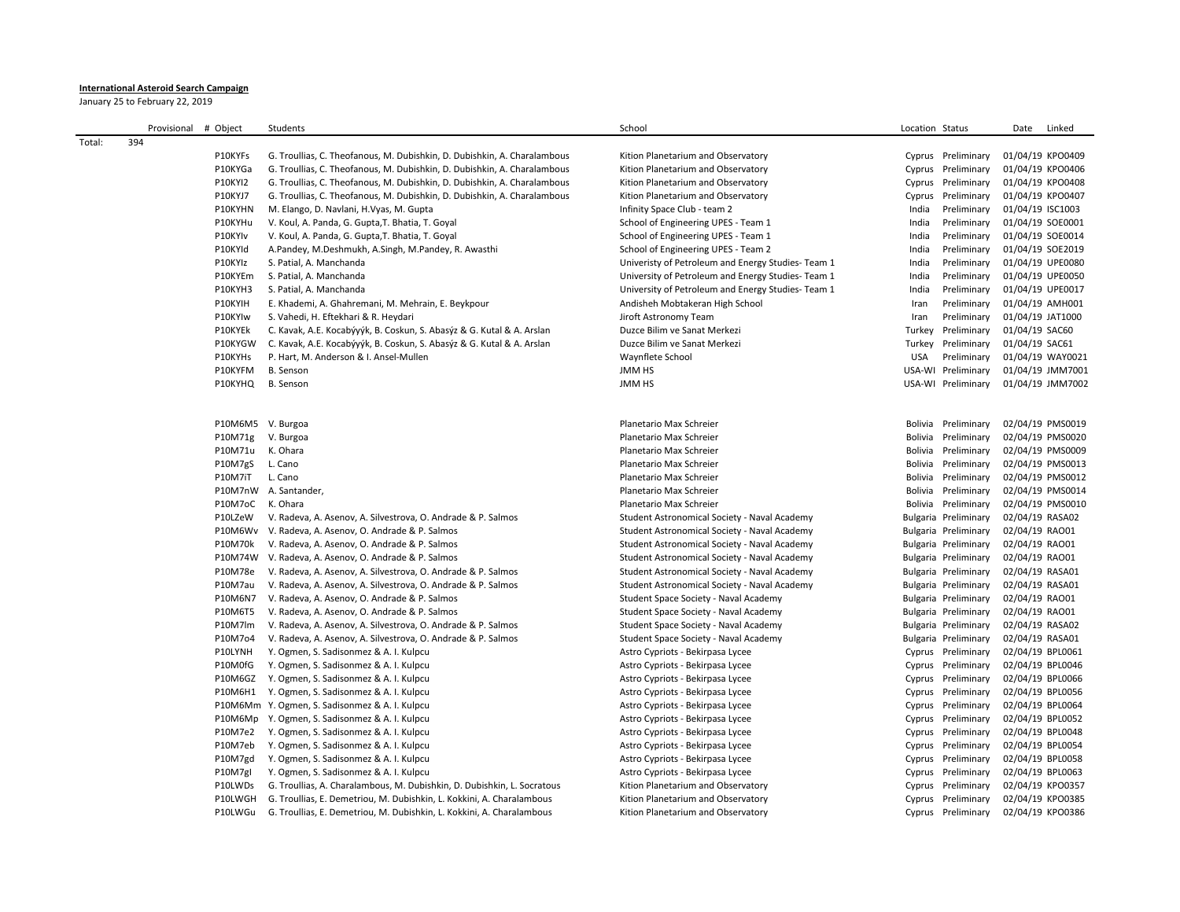## **International Asteroid Search Campaign**

January 25 to February 22, 2019

|        | Provisional # Object |                   | Students                                                                      | School                                             | Location Status |                      | Date             | Linked           |
|--------|----------------------|-------------------|-------------------------------------------------------------------------------|----------------------------------------------------|-----------------|----------------------|------------------|------------------|
| Total: | 394                  |                   |                                                                               |                                                    |                 |                      |                  |                  |
|        |                      | P10KYFs           | G. Troullias, C. Theofanous, M. Dubishkin, D. Dubishkin, A. Charalambous      | Kition Planetarium and Observatory                 |                 | Cyprus Preliminary   | 01/04/19 KPO0409 |                  |
|        |                      | P10KYGa           | G. Troullias, C. Theofanous, M. Dubishkin, D. Dubishkin, A. Charalambous      | Kition Planetarium and Observatory                 |                 | Cyprus Preliminary   | 01/04/19 KPO0406 |                  |
|        |                      | <b>P10KYI2</b>    | G. Troullias, C. Theofanous, M. Dubishkin, D. Dubishkin, A. Charalambous      | Kition Planetarium and Observatory                 |                 | Cyprus Preliminary   | 01/04/19 KPO0408 |                  |
|        |                      | P10KYJ7           | G. Troullias, C. Theofanous, M. Dubishkin, D. Dubishkin, A. Charalambous      | Kition Planetarium and Observatory                 |                 | Cyprus Preliminary   | 01/04/19 KPO0407 |                  |
|        |                      | P10KYHN           | M. Elango, D. Navlani, H.Vyas, M. Gupta                                       | Infinity Space Club - team 2                       | India           | Preliminary          | 01/04/19 ISC1003 |                  |
|        |                      | P10KYHu           | V. Koul, A. Panda, G. Gupta, T. Bhatia, T. Goyal                              | School of Engineering UPES - Team 1                | India           | Preliminary          | 01/04/19 SOE0001 |                  |
|        |                      | P10KYIv           | V. Koul, A. Panda, G. Gupta, T. Bhatia, T. Goyal                              | School of Engineering UPES - Team 1                | India           | Preliminary          | 01/04/19 SOE0014 |                  |
|        |                      | P10KYId           | A.Pandey, M.Deshmukh, A.Singh, M.Pandey, R. Awasthi                           | School of Engineering UPES - Team 2                | India           | Preliminary          | 01/04/19 SOE2019 |                  |
|        |                      | P10KYIz           | S. Patial, A. Manchanda                                                       | Univeristy of Petroleum and Energy Studies- Team 1 | India           | Preliminary          | 01/04/19 UPE0080 |                  |
|        |                      | P10KYEm           | S. Patial, A. Manchanda                                                       | University of Petroleum and Energy Studies-Team 1  | India           | Preliminary          | 01/04/19 UPE0050 |                  |
|        |                      | P10KYH3           | S. Patial, A. Manchanda                                                       | University of Petroleum and Energy Studies-Team 1  | India           | Preliminary          | 01/04/19 UPE0017 |                  |
|        |                      | P10KYIH           | E. Khademi, A. Ghahremani, M. Mehrain, E. Beykpour                            | Andisheh Mobtakeran High School                    | Iran            | Preliminary          | 01/04/19 AMH001  |                  |
|        |                      | P10KYIw           | S. Vahedi, H. Eftekhari & R. Heydari                                          | Jiroft Astronomy Team                              | Iran            | Preliminary          | 01/04/19 JAT1000 |                  |
|        |                      | P10KYEk           | C. Kavak, A.E. Kocabýyýk, B. Coskun, S. Abasýz & G. Kutal & A. Arslan         | Duzce Bilim ve Sanat Merkezi                       |                 | Turkey Preliminary   | 01/04/19 SAC60   |                  |
|        |                      | P10KYGW           | C. Kavak, A.E. Kocabýyýk, B. Coskun, S. Abasýz & G. Kutal & A. Arslan         | Duzce Bilim ve Sanat Merkezi                       |                 | Turkey Preliminary   | 01/04/19 SAC61   |                  |
|        |                      | P10KYHs           | P. Hart, M. Anderson & I. Ansel-Mullen                                        | Waynflete School                                   | USA             | Preliminary          | 01/04/19 WAY0021 |                  |
|        |                      | P10KYFM           | <b>B.</b> Senson                                                              | <b>JMM HS</b>                                      |                 | USA-WI Preliminary   |                  | 01/04/19 JMM7001 |
|        |                      | P10KYHQ           | <b>B.</b> Senson                                                              | <b>JMM HS</b>                                      |                 | USA-WI Preliminary   |                  | 01/04/19 JMM7002 |
|        |                      |                   |                                                                               |                                                    |                 |                      |                  |                  |
|        |                      |                   |                                                                               |                                                    |                 |                      |                  |                  |
|        |                      | P10M6M5 V. Burgoa |                                                                               | Planetario Max Schreier                            |                 | Bolivia Preliminary  | 02/04/19 PMS0019 |                  |
|        |                      | P10M71g           | V. Burgoa                                                                     | Planetario Max Schreier                            |                 | Bolivia Preliminary  | 02/04/19 PMS0020 |                  |
|        |                      | P10M71u           | K. Ohara                                                                      | Planetario Max Schreier                            |                 | Bolivia Preliminary  | 02/04/19 PMS0009 |                  |
|        |                      | P10M7gS           | L. Cano                                                                       | Planetario Max Schreier                            |                 | Bolivia Preliminary  | 02/04/19 PMS0013 |                  |
|        |                      | P10M7iT           | L. Cano                                                                       | Planetario Max Schreier                            |                 | Bolivia Preliminary  | 02/04/19 PMS0012 |                  |
|        |                      |                   | P10M7nW A. Santander,                                                         | Planetario Max Schreier                            |                 | Bolivia Preliminary  | 02/04/19 PMS0014 |                  |
|        |                      | P10M7oC           | K. Ohara                                                                      | Planetario Max Schreier                            |                 | Bolivia Preliminary  | 02/04/19 PMS0010 |                  |
|        |                      | P10LZeW           | V. Radeva, A. Asenov, A. Silvestrova, O. Andrade & P. Salmos                  | Student Astronomical Society - Naval Academy       |                 | Bulgaria Preliminary | 02/04/19 RASA02  |                  |
|        |                      |                   | P10M6Wv V. Radeva, A. Asenov, O. Andrade & P. Salmos                          | Student Astronomical Society - Naval Academy       |                 | Bulgaria Preliminary | 02/04/19 RAO01   |                  |
|        |                      | P10M70k           | V. Radeva, A. Asenov, O. Andrade & P. Salmos                                  | Student Astronomical Society - Naval Academy       |                 | Bulgaria Preliminary | 02/04/19 RAO01   |                  |
|        |                      |                   | P10M74W V. Radeva, A. Asenov, O. Andrade & P. Salmos                          | Student Astronomical Society - Naval Academy       |                 | Bulgaria Preliminary | 02/04/19 RAO01   |                  |
|        |                      | P10M78e           | V. Radeva, A. Asenov, A. Silvestrova, O. Andrade & P. Salmos                  | Student Astronomical Society - Naval Academy       |                 | Bulgaria Preliminary | 02/04/19 RASA01  |                  |
|        |                      | P10M7au           | V. Radeva, A. Asenov, A. Silvestrova, O. Andrade & P. Salmos                  | Student Astronomical Society - Naval Academy       |                 | Bulgaria Preliminary | 02/04/19 RASA01  |                  |
|        |                      | P10M6N7           | V. Radeva, A. Asenov, O. Andrade & P. Salmos                                  | Student Space Society - Naval Academy              |                 | Bulgaria Preliminary | 02/04/19 RAO01   |                  |
|        |                      | P10M6T5           | V. Radeva, A. Asenov, O. Andrade & P. Salmos                                  | Student Space Society - Naval Academy              |                 | Bulgaria Preliminary | 02/04/19 RAO01   |                  |
|        |                      | P10M7lm           | V. Radeva, A. Asenov, A. Silvestrova, O. Andrade & P. Salmos                  | Student Space Society - Naval Academy              |                 | Bulgaria Preliminary | 02/04/19 RASA02  |                  |
|        |                      | P10M7o4           | V. Radeva, A. Asenov, A. Silvestrova, O. Andrade & P. Salmos                  | Student Space Society - Naval Academy              |                 | Bulgaria Preliminary | 02/04/19 RASA01  |                  |
|        |                      | P10LYNH           | Y. Ogmen, S. Sadisonmez & A. I. Kulpcu                                        | Astro Cypriots - Bekirpasa Lycee                   |                 | Cyprus Preliminary   | 02/04/19 BPL0061 |                  |
|        |                      | P10M0fG           | Y. Ogmen, S. Sadisonmez & A. I. Kulpcu                                        | Astro Cypriots - Bekirpasa Lycee                   |                 | Cyprus Preliminary   | 02/04/19 BPL0046 |                  |
|        |                      | P10M6GZ           | Y. Ogmen, S. Sadisonmez & A. I. Kulpcu                                        | Astro Cypriots - Bekirpasa Lycee                   |                 | Cyprus Preliminary   | 02/04/19 BPL0066 |                  |
|        |                      | P10M6H1           | Y. Ogmen, S. Sadisonmez & A. I. Kulpcu                                        | Astro Cypriots - Bekirpasa Lycee                   |                 | Cyprus Preliminary   | 02/04/19 BPL0056 |                  |
|        |                      |                   | P10M6Mm Y. Ogmen, S. Sadisonmez & A. I. Kulpcu                                | Astro Cypriots - Bekirpasa Lycee                   |                 | Cyprus Preliminary   | 02/04/19 BPL0064 |                  |
|        |                      |                   | P10M6Mp Y. Ogmen, S. Sadisonmez & A. I. Kulpcu                                | Astro Cypriots - Bekirpasa Lycee                   |                 | Cyprus Preliminary   | 02/04/19 BPL0052 |                  |
|        |                      | P10M7e2           | Y. Ogmen, S. Sadisonmez & A. I. Kulpcu                                        | Astro Cypriots - Bekirpasa Lycee                   |                 | Cyprus Preliminary   | 02/04/19 BPL0048 |                  |
|        |                      | P10M7eb           | Y. Ogmen, S. Sadisonmez & A. I. Kulpcu                                        | Astro Cypriots - Bekirpasa Lycee                   |                 | Cyprus Preliminary   | 02/04/19 BPL0054 |                  |
|        |                      | P10M7gd           | Y. Ogmen, S. Sadisonmez & A. I. Kulpcu                                        | Astro Cypriots - Bekirpasa Lycee                   |                 | Cyprus Preliminary   | 02/04/19 BPL0058 |                  |
|        |                      | P10M7gl           | Y. Ogmen, S. Sadisonmez & A. I. Kulpcu                                        | Astro Cypriots - Bekirpasa Lycee                   |                 | Cyprus Preliminary   | 02/04/19 BPL0063 |                  |
|        |                      | P10LWDs           | G. Troullias, A. Charalambous, M. Dubishkin, D. Dubishkin, L. Socratous       | Kition Planetarium and Observatory                 |                 | Cyprus Preliminary   | 02/04/19 KPO0357 |                  |
|        |                      | P10LWGH           | G. Troullias, E. Demetriou, M. Dubishkin, L. Kokkini, A. Charalambous         | Kition Planetarium and Observatory                 |                 | Cyprus Preliminary   | 02/04/19 KPO0385 |                  |
|        |                      |                   | P10LWGu G. Troullias, E. Demetriou, M. Dubishkin, L. Kokkini, A. Charalambous | Kition Planetarium and Observatory                 |                 | Cyprus Preliminary   | 02/04/19 KPO0386 |                  |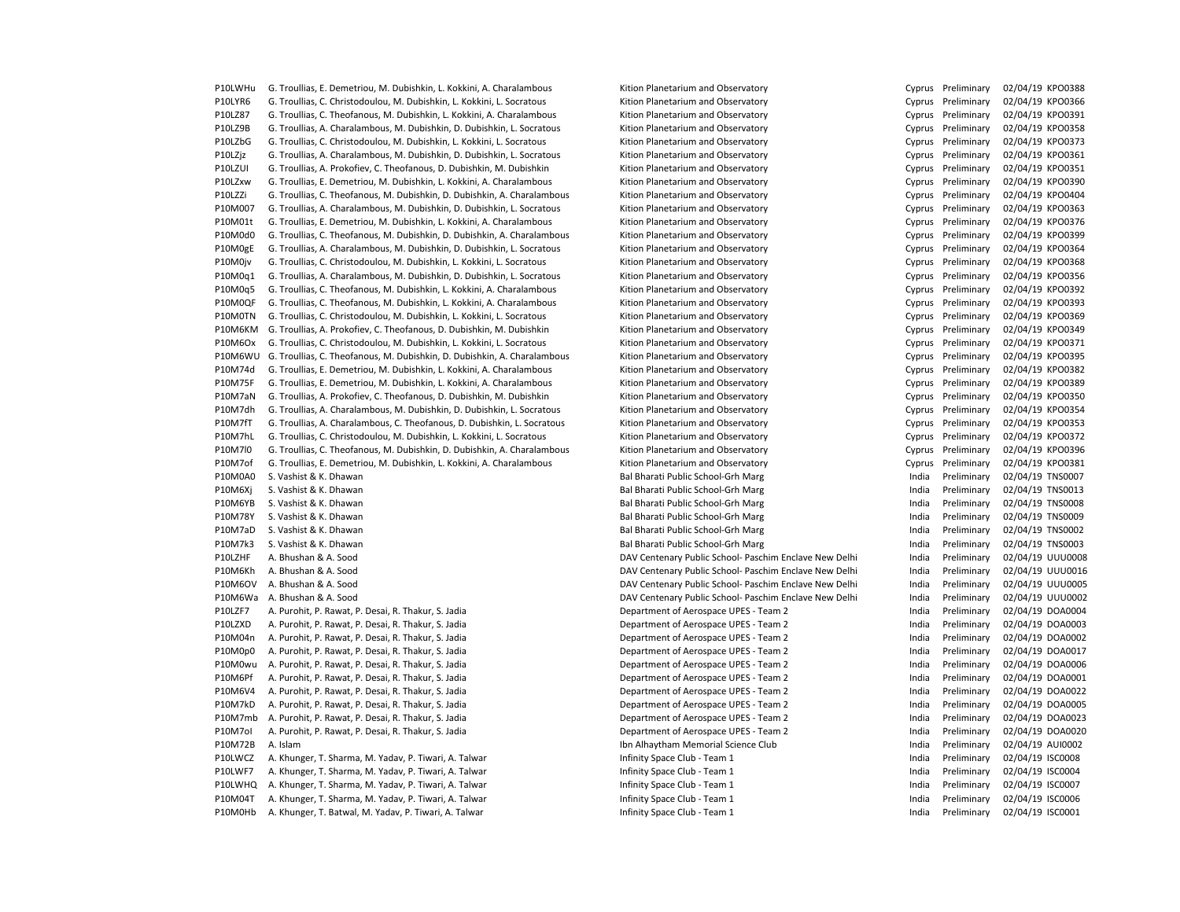P10LWHu G. Troullias, E. Demetriou, M. Dubishkin, L. Kokkini, A. Charalambous Kition Planetarium and Observatory Cuprus Preliminary 02/04/19 KPO0388 P10LYR6 G. Troullias, C. Christodoulou, M. Dubishkin, L. Kokkini, L. Socratous Kition Planetarium and Observatory Cyprus Preliminary 02/04/19 KPO0366 P10LZ87 G. Troullias, C. Theofanous, M. Dubishkin, L. Kokkini, A. Charalambous Kition Planetarium and Observatory Cyprus Preliminary 02/04/19 KPO0391 P10LZ9B G. Troullias, A. Charalambous, M. Dubishkin, D. Dubishkin, L. Socratous Kition Planetarium and Observatory Cyprus Preliminary 02/04/19 KPO0358 P10LZbG G. Troullias, C. Christodoulou, M. Dubishkin, L. Kokkini, L. Socratous Kition Planetarium and Observatory Cyprus Preliminary 02/04/19 KPO0373 P10LZiz G. Troullias, A. Charalambous, M. Dubishkin, D. Dubishkin, L. Socratous Kition Planetarium and Observatory Cuprus Preliminary 02/04/19 KPO0361 P10LZUI G. Troullias, A. Prokofiev, C. Theofanous, D. Dubishkin, M. Dubishkin Kition Planetarium and Observatory Cyprus Preliminary 02/04/19 KPO0351 P10LZxw G. Troullias, E. Demetriou, M. Dubishkin, L. Kokkini, A. Charalambous Kition Planetarium and Observatory Cyprus Preliminary 02/04/19 KPO0390 P10LZZi G. Troullias, C. Theofanous, M. Dubishkin, D. Dubishkin, A. Charalambous Kition Planetarium and Observatory Cyprus Preliminary 02/04/19 KPO0404 P10M007 G. Troullias, A. Charalambous, M. Dubishkin, D. Dubishkin, L. Socratous Kition Planetarium and Observatory Cyprus Preliminary 02/04/19 KPO0363 P10M01t G. Troullias, E. Demetriou, M. Dubishkin, L. Kokkini, A. Charalambous Kition Planetarium and Observatory Cyprus Preliminary 02/04/19 KPO0376 P10M0d0 G. Troullias, C. Theofanous, M. Dubishkin, D. Dubishkin, A. Charalambous Kition Planetarium and Observatory Cyprus Preliminary 02/04/19 KPO0399 P10M0gE G. Troullias, A. Charalambous, M. Dubishkin, D. Dubishkin, L. Socratous Kition Planetarium and Observatory Cyprus Preliminary 02/04/19 KPO0364 P10M0jv G. Troullias, C. Christodoulou, M. Dubishkin, L. Kokkini, L. Socratous Kition Planetarium and Observatory Cyprus Preliminary 02/04/19 KPO0368 P10M0q1 G. Troullias, A. Charalambous, M. Dubishkin, D. Dubishkin, L. Socratous Kition Planetarium and Observatory Cyprus Preliminary 02/04/19 KPO0356 P10M0q5 G. Troullias, C. Theofanous, M. Dubishkin, L. Kokkini, A. Charalambous Kition Planetarium and Observatory Cyprus Preliminary 02/04/19 KPO0392 P10M0QF G. Troullias, C. Theofanous, M. Dubishkin, L. Kokkini, A. Charalambous Kition Planetarium and Observatory Cyprus Preliminary 02/04/19 KPO0393 P10M0TN G. Troullias, C. Christodoulou, M. Dubishkin, L. Kokkini, L. Socratous Kition Planetarium and Observatory Cuprus Preliminary 02/04/19 KPO0369 P10M6KM G. Troullias, A. Prokofiev, C. Theofanous, D. Dubishkin, M. Dubishkin Kition Planetarium and Observatory Cyprus Preliminary 02/04/19 KPO0349 P10M6Ox G. Troullias, C. Christodoulou, M. Dubishkin, L. Kokkini, L. Socratous Kition Planetarium and Observatory Cyprus Preliminary 02/04/19 KPO0371 P10M6WU G. Troullias, C. Theofanous, M. Dubishkin, D. Dubishkin, A. Charalambous Kition Planetarium and Observatory Cyprus Preliminary 02/04/19 KPO0395 P10M74d G. Troullias, E. Demetriou, M. Dubishkin, L. Kokkini, A. Charalambous Kition Planetarium and Observatory Cyprus Preliminary 02/04/19 KPO0382 P10M75F G. Troullias, E. Demetriou, M. Dubishkin, L. Kokkini, A. Charalambous Kition Planetarium and Observatory Cuprus Preliminary 02/04/19 KPO0389 P10M7aN G. Troullias, A. Prokofiev, C. Theofanous, D. Dubishkin, M. Dubishkin Kition Planetarium and Observatory Cyprus Preliminary 02/04/19 KPO0350 P10M7dh G. Troullias, A. Charalambous, M. Dubishkin, D. Dubishkin, L. Socratous Kition Planetarium and Observatory Cyprus Preliminary 02/04/19 KPO0354 P10M7fT G. Troullias, A. Charalambous, C. Theofanous, D. Dubishkin, L. Socratous Kition Planetarium and Observatory Cyprus Preliminary 02/04/19 KPO0353 P10M7hL G. Troullias, C. Christodoulou, M. Dubishkin, L. Kokkini, L. Socratous Kition Planetarium and Observatory Cyprus Preliminary 02/04/19 KPO0372 P10M7l0 G. Troullias, C. Theofanous, M. Dubishkin, D. Dubishkin, A. Charalambous Kition Planetarium and Observatory Cyprus Preliminary 02/04/19 KPO0396 P10M7of G. Troullias, E. Demetriou, M. Dubishkin, L. Kokkini, A. Charalambous Kition Planetarium and Observatory Cyprus Preliminary 02/04/19 KPO0381 P10M0A0 S. Vashist & K. Dhawan **Bal Bharati Public School-Grh Marg** India Preliminary 02/04/19 TNS0007 P10M6Xj S. Vashist & K. Dhawan end end a material public School-Grh Marg india Preliminary 02/04/19 TNS0013 P10M6YB S. Vashist & K. Dhawan Bal Bharati Public School-Grh Marg India Preliminary 02/04/19 TNS0008 P10M78Y S. Vashist & K. Dhawan Bal Bharati Public School-Grh Marg India Preliminary 02/04/19 TNS0009 P10M7aD S. Vashist & K. Dhawan **Bal Bharati Public School-Grh Marg** India Preliminary 02/04/19 TNS0002 P10M7k3 S. Vashist & K. Dhawan Bal Bharati Public School-Grh Marg India Preliminary 02/04/19 TNS0003 P10LZHF A. Bhushan & A. Sood DAV Centenary Public School- Paschim Enclave New Delhi India Preliminary 02/04/19 UUU0008 P10M6Kh A. Bhushan & A. Sood DAV Centenary Public School- Paschim Enclave New Delhi India Preliminary 02/04/19 UUU0016 P10M6OV A. Bhushan & A. Sood DAV Centenary Public School- Paschim Enclave New Delhi India Preliminary 02/04/19 UUU0005 P10M6Wa A. Bhushan & A. Sood DAV Centenary Public School- Paschim Enclave New Delhi India Preliminary 02/04/19 UUU0002 P10LZF7 A. Purohit, P. Rawat, P. Desai, R. Thakur, S. Jadia Department of Aerospace UPES - Team 2 India Preliminary 02/04/19 DOA0004 P10LZXD A. Purohit, P. Rawat, P. Desai, R. Thakur, S. Jadia Department of Aerospace UPES - Team 2 India Preliminary 02/04/19 DOA0003 P10M04n A. Purohit, P. Rawat, P. Desai, R. Thakur, S. Jadia Department of Aerospace UPES - Team 2 India Preliminary 02/04/19 DOA0002 P10M0p0 A. Purohit, P. Rawat, P. Desai, R. Thakur, S. Jadia Department of Aerospace UPES - Team 2 India Preliminary 02/04/19 DOA0017 P10M0wu A. Purohit, P. Rawat, P. Desai, R. Thakur, S. Jadia Department of Aerospace UPES - Team 2 India Preliminary 02/04/19 DOA0006 P10M6Pf A. Purohit, P. Rawat, P. Desai, R. Thakur, S. Jadia Department of Aerospace UPES - Team 2 India Preliminary 02/04/19 DOA0001 P10M6V4 A. Purohit, P. Rawat, P. Desai, R. Thakur, S. Jadia Department of Aerospace UPES - Team 2 India Preliminary 02/04/19 DOA0022 P10M7kD A. Purohit, P. Rawat, P. Desai, R. Thakur, S. Jadia Department of Aerospace UPES - Team 2 India Preliminary 02/04/19 DOA0005 P10M7mb A. Purohit, P. Rawat, P. Desai, R. Thakur, S. Jadia Department of Aerospace UPES - Team 2 India Preliminary 02/04/19 DOA0023 P10M7oI A. Purohit, P. Rawat, P. Desai, R. Thakur, S. Jadia Department of Aerospace UPES - Team 2 India Preliminary 02/04/19 DOA0020 P10M72B A. Islam Ibn Alhaytham Memorial Science Club India Preliminary 02/04/19 AUI0002 P10LWCZ A. Khunger, T. Sharma, M. Yadav, P. Tiwari, A. Talwar India A. Sharman Laman and Life india Areliminary M. Yadav, P. Tiwari, A. Talwar India Preliminary 02/04/19 ISC0008 P10LWF7 A. Khunger, T. Sharma, M. Yadav, P. Tiwari, A. Talwar India and The Limity Space Club - Team 1 India Preliminary 02/04/19 ISC0004 P10LWHQ A. Khunger, T. Sharma, M. Yadav, P. Tiwari, A. Talwar India + Team 1 Compared Club - Team 1 Thinity Space Club - Team 1 Thinity Space Club - Team 1 Thinity Space Club - Team 1 Thinity Space Club - Team 1 Thinity Sp P10M04T A. Khunger, T. Sharma, M. Yadav, P. Tiwari, A. Talwar India A. Sharman Laman Laman Laman Laman Laman Laman Laman Laman Laman Laman Laman Laman Laman Laman Laman Laman Laman Laman Laman Laman Laman Laman Laman Laman P10M0Hb A. Khunger, T. Batwal, M. Yadav, P. Tiwari, A. Talwar India Areliminary 02/04/19 ISC0001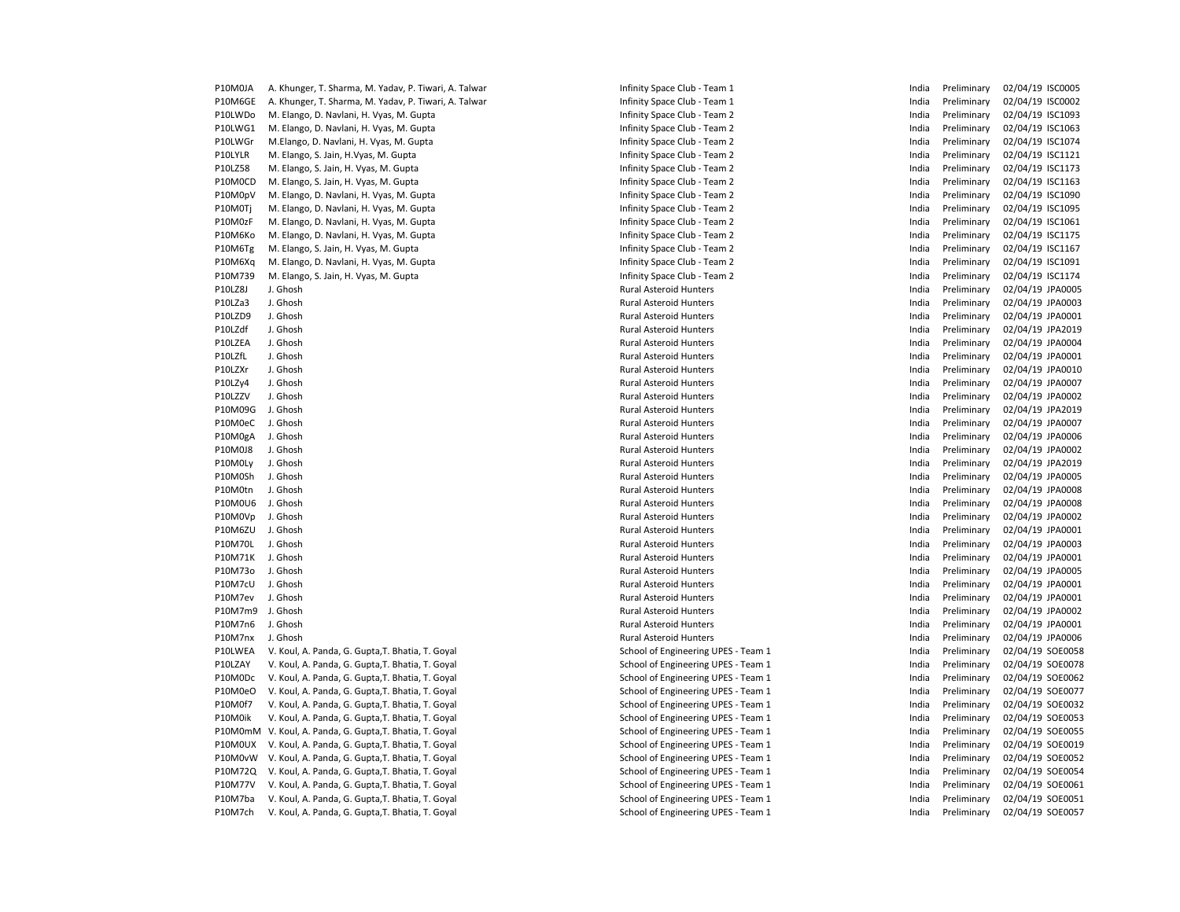| P10M0JA | A. Khunger, T. Sharma, M. Yadav, P. Tiwari, A. Talwar | Infinity Space Club - Team 1        | India | Preliminary | 02/04/19 ISC0005 |  |
|---------|-------------------------------------------------------|-------------------------------------|-------|-------------|------------------|--|
| P10M6GE | A. Khunger, T. Sharma, M. Yadav, P. Tiwari, A. Talwar | Infinity Space Club - Team 1        | India | Preliminary | 02/04/19 ISC0002 |  |
| P10LWDo | M. Elango, D. Navlani, H. Vyas, M. Gupta              | Infinity Space Club - Team 2        | India | Preliminary | 02/04/19 ISC1093 |  |
| P10LWG1 | M. Elango, D. Navlani, H. Vyas, M. Gupta              | Infinity Space Club - Team 2        | India | Preliminary | 02/04/19 ISC1063 |  |
| P10LWGr | M.Elango, D. Navlani, H. Vyas, M. Gupta               | Infinity Space Club - Team 2        | India | Preliminary | 02/04/19 ISC1074 |  |
| P10LYLR | M. Elango, S. Jain, H.Vyas, M. Gupta                  | Infinity Space Club - Team 2        | India | Preliminary | 02/04/19 ISC1121 |  |
| P10LZ58 | M. Elango, S. Jain, H. Vyas, M. Gupta                 | Infinity Space Club - Team 2        | India | Preliminary | 02/04/19 ISC1173 |  |
| P10M0CD | M. Elango, S. Jain, H. Vyas, M. Gupta                 | Infinity Space Club - Team 2        | India | Preliminary | 02/04/19 ISC1163 |  |
| P10M0pV | M. Elango, D. Navlani, H. Vyas, M. Gupta              | Infinity Space Club - Team 2        | India | Preliminary | 02/04/19 ISC1090 |  |
| P10M0Tj | M. Elango, D. Navlani, H. Vyas, M. Gupta              | Infinity Space Club - Team 2        | India | Preliminary | 02/04/19 ISC1095 |  |
| P10M0zF | M. Elango, D. Navlani, H. Vyas, M. Gupta              | Infinity Space Club - Team 2        | India | Preliminary | 02/04/19 ISC1061 |  |
| P10M6Ko | M. Elango, D. Navlani, H. Vyas, M. Gupta              | Infinity Space Club - Team 2        | India | Preliminary | 02/04/19 ISC1175 |  |
| P10M6Tg | M. Elango, S. Jain, H. Vyas, M. Gupta                 | Infinity Space Club - Team 2        | India | Preliminary | 02/04/19 ISC1167 |  |
| P10M6Xq | M. Elango, D. Navlani, H. Vyas, M. Gupta              | Infinity Space Club - Team 2        | India | Preliminary | 02/04/19 ISC1091 |  |
| P10M739 | M. Elango, S. Jain, H. Vyas, M. Gupta                 | Infinity Space Club - Team 2        | India | Preliminary | 02/04/19 ISC1174 |  |
| P10LZ8J | J. Ghosh                                              | Rural Asteroid Hunters              | India | Preliminary | 02/04/19 JPA0005 |  |
| P10LZa3 | J. Ghosh                                              | Rural Asteroid Hunters              | India | Preliminary | 02/04/19 JPA0003 |  |
| P10LZD9 | J. Ghosh                                              | Rural Asteroid Hunters              | India | Preliminary | 02/04/19 JPA0001 |  |
| P10LZdf | J. Ghosh                                              | Rural Asteroid Hunters              | India | Preliminary | 02/04/19 JPA2019 |  |
| P10LZEA | J. Ghosh                                              | Rural Asteroid Hunters              | India | Preliminary | 02/04/19 JPA0004 |  |
| P10LZfL | J. Ghosh                                              | <b>Rural Asteroid Hunters</b>       | India | Preliminary | 02/04/19 JPA0001 |  |
| P10LZXr | J. Ghosh                                              | <b>Rural Asteroid Hunters</b>       | India | Preliminary | 02/04/19 JPA0010 |  |
| P10LZy4 | J. Ghosh                                              | <b>Rural Asteroid Hunters</b>       | India | Preliminary | 02/04/19 JPA0007 |  |
| P10LZZV | J. Ghosh                                              | Rural Asteroid Hunters              | India | Preliminary | 02/04/19 JPA0002 |  |
| P10M09G | J. Ghosh                                              | <b>Rural Asteroid Hunters</b>       | India | Preliminary | 02/04/19 JPA2019 |  |
| P10M0eC | J. Ghosh                                              | <b>Rural Asteroid Hunters</b>       | India | Preliminary | 02/04/19 JPA0007 |  |
| P10M0gA | J. Ghosh                                              | <b>Rural Asteroid Hunters</b>       | India | Preliminary | 02/04/19 JPA0006 |  |
| P10M0J8 | J. Ghosh                                              | <b>Rural Asteroid Hunters</b>       | India | Preliminary | 02/04/19 JPA0002 |  |
| P10M0Ly | J. Ghosh                                              | <b>Rural Asteroid Hunters</b>       | India | Preliminary | 02/04/19 JPA2019 |  |
| P10M0Sh | J. Ghosh                                              | <b>Rural Asteroid Hunters</b>       | India | Preliminary | 02/04/19 JPA0005 |  |
| P10M0tn | J. Ghosh                                              | <b>Rural Asteroid Hunters</b>       | India | Preliminary | 02/04/19 JPA0008 |  |
| P10M0U6 | J. Ghosh                                              | <b>Rural Asteroid Hunters</b>       | India | Preliminary | 02/04/19 JPA0008 |  |
| P10M0Vp | J. Ghosh                                              | Rural Asteroid Hunters              | India | Preliminary | 02/04/19 JPA0002 |  |
| P10M6ZU | J. Ghosh                                              | Rural Asteroid Hunters              | India | Preliminary | 02/04/19 JPA0001 |  |
| P10M70L | J. Ghosh                                              | Rural Asteroid Hunters              | India | Preliminary | 02/04/19 JPA0003 |  |
| P10M71K | J. Ghosh                                              | Rural Asteroid Hunters              | India | Preliminary | 02/04/19 JPA0001 |  |
| P10M73o | J. Ghosh                                              | Rural Asteroid Hunters              | India | Preliminary | 02/04/19 JPA0005 |  |
| P10M7cU | J. Ghosh                                              | <b>Rural Asteroid Hunters</b>       | India | Preliminary | 02/04/19 JPA0001 |  |
| P10M7ev | J. Ghosh                                              | Rural Asteroid Hunters              | India | Preliminary | 02/04/19 JPA0001 |  |
| P10M7m9 | J. Ghosh                                              | Rural Asteroid Hunters              | India | Preliminary | 02/04/19 JPA0002 |  |
| P10M7n6 | J. Ghosh                                              | Rural Asteroid Hunters              | India | Preliminary | 02/04/19 JPA0001 |  |
| P10M7nx | J. Ghosh                                              | <b>Rural Asteroid Hunters</b>       | India | Preliminary | 02/04/19 JPA0006 |  |
| P10LWEA | V. Koul, A. Panda, G. Gupta, T. Bhatia, T. Goyal      | School of Engineering UPES - Team 1 | India | Preliminary | 02/04/19 SOE0058 |  |
| P10LZAY | V. Koul, A. Panda, G. Gupta, T. Bhatia, T. Goyal      | School of Engineering UPES - Team 1 | India | Preliminary | 02/04/19 SOE0078 |  |
| P10M0Dc | V. Koul, A. Panda, G. Gupta, T. Bhatia, T. Goyal      | School of Engineering UPES - Team 1 | India | Preliminary | 02/04/19 SOE0062 |  |
| P10M0eO | V. Koul, A. Panda, G. Gupta, T. Bhatia, T. Goyal      | School of Engineering UPES - Team 1 | India | Preliminary | 02/04/19 SOE0077 |  |
| P10M0f7 | V. Koul, A. Panda, G. Gupta, T. Bhatia, T. Goyal      | School of Engineering UPES - Team 1 | India | Preliminary | 02/04/19 SOE0032 |  |
| P10M0ik | V. Koul, A. Panda, G. Gupta, T. Bhatia, T. Goyal      | School of Engineering UPES - Team 1 | India | Preliminary | 02/04/19 SOE0053 |  |
| P10M0mM | V. Koul, A. Panda, G. Gupta, T. Bhatia, T. Goyal      | School of Engineering UPES - Team 1 | India | Preliminary | 02/04/19 SOE0055 |  |
| P10M0UX | V. Koul, A. Panda, G. Gupta, T. Bhatia, T. Goyal      | School of Engineering UPES - Team 1 | India | Preliminary | 02/04/19 SOE0019 |  |
| P10M0vW | V. Koul, A. Panda, G. Gupta, T. Bhatia, T. Goyal      | School of Engineering UPES - Team 1 | India | Preliminary | 02/04/19 SOE0052 |  |
| P10M72Q | V. Koul, A. Panda, G. Gupta, T. Bhatia, T. Goyal      | School of Engineering UPES - Team 1 | India | Preliminary | 02/04/19 SOE0054 |  |
| P10M77V | V. Koul, A. Panda, G. Gupta, T. Bhatia, T. Goyal      | School of Engineering UPES - Team 1 | India | Preliminary | 02/04/19 SOE0061 |  |
| P10M7ba | V. Koul, A. Panda, G. Gupta, T. Bhatia, T. Goyal      | School of Engineering UPES - Team 1 | India | Preliminary | 02/04/19 SOE005: |  |
| P10M7ch | V. Koul, A. Panda, G. Gupta, T. Bhatia, T. Goval      | School of Engineering UPES - Team 1 | India | Preliminary | 02/04/19 SOE0057 |  |
|         |                                                       |                                     |       |             |                  |  |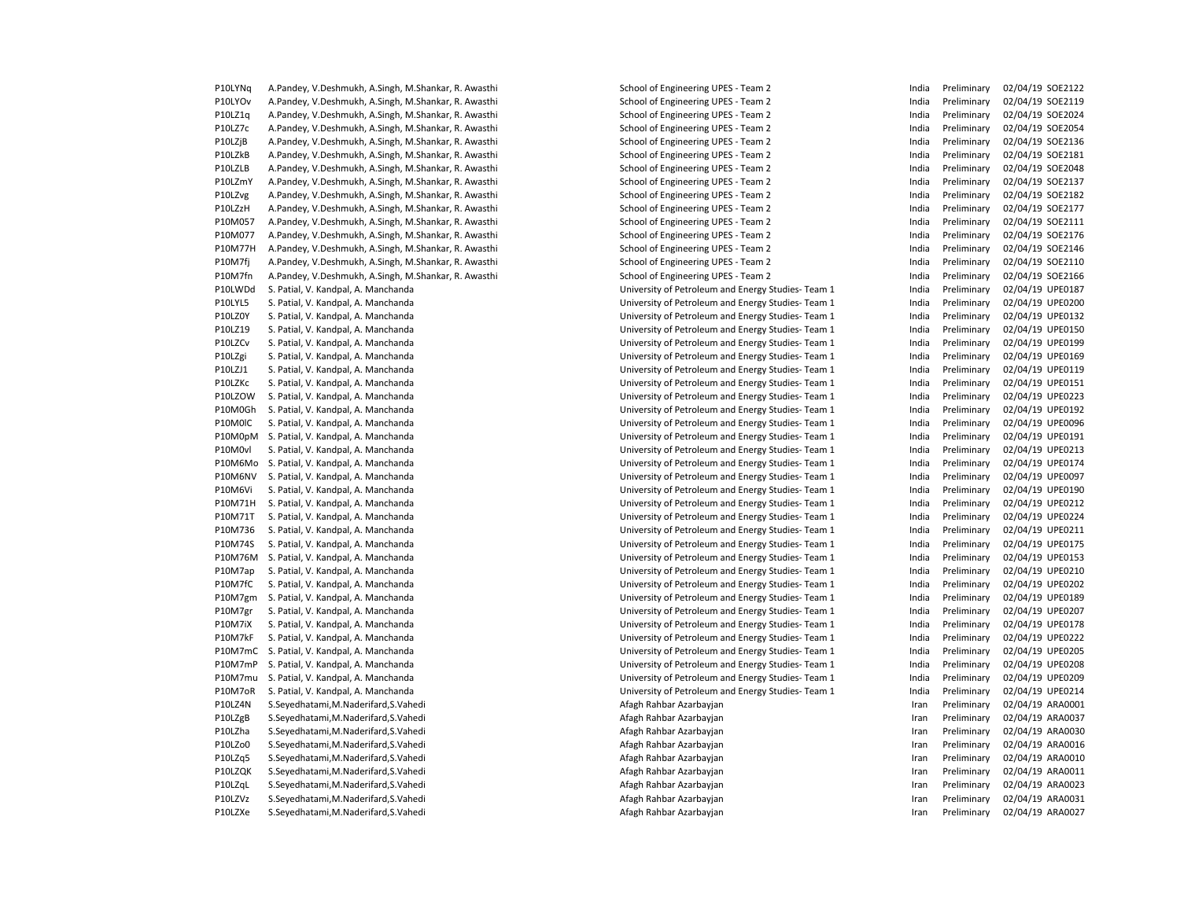P10LYOv A.Pandey, V.Deshmukh, A.Singh, M.Shankar, R. Awasthi School of Engineering UPES - Team 2 India Preliminary 02/04/19 SOE2119 P10LZ1q A.Pandey, V.Deshmukh, A.Singh, M.Shankar, R. Awasthi School of Engineering UPES - Team 2 India Preliminary 02/04/19 SOE2024 P10LZ7c A.Pandey, V.Deshmukh, A.Singh, M.Shankar, R. Awasthi School of Engineering UPES - Team 2 India Preliminary 02/04/19 SOE2054 P10LZjB A.Pandey, V.Deshmukh, A.Singh, M.Shankar, R. Awasthi School of Engineering UPES - Team 2 India Preliminary 02/04/19 SOE2136 P10LZkB A.Pandey, V.Deshmukh, A.Singh, M.Shankar, R. Awasthi School of Engineering UPES - Team 2 India Preliminary 02/04/19 SOE2181 P10LZLB A.Pandey, V.Deshmukh, A.Singh, M.Shankar, R. Awasthi School of Engineering UPES - Team 2 India Preliminary 02/04/19 SOE2048 P10LZmY A.Pandey, V.Deshmukh, A.Singh, M.Shankar, R. Awasthi School of Engineering UPES - Team 2 India Preliminary 02/04/19 SOE2137 P10LZvg A.Pandey, V.Deshmukh, A.Singh, M.Shankar, R. Awasthi School of Engineering UPES - Team 2 India Preliminary 02/04/19 SOE2182 P10LZzH A.Pandey, V.Deshmukh, A.Singh, M.Shankar, R. Awasthi School of Engineering UPES - Team 2 India Preliminary 02/04/19 SOE2177 P10M057 A.Pandey, V.Deshmukh, A.Singh, M.Shankar, R. Awasthi School of Engineering UPES - Team 2 India Preliminary 02/04/19 SOE2111 P10M077 A.Pandey, V.Deshmukh, A.Singh, M.Shankar, R. Awasthi School of Engineering UPES - Team 2 India Preliminary 02/04/19 SOE2176 P10M77H A.Pandey, V.Deshmukh, A.Singh, M.Shankar, R. Awasthi School of Engineering UPES - Team 2 India Preliminary 02/04/19 SOE2146 P10M7fj A.Pandey, V.Deshmukh, A.Singh, M.Shankar, R. Awasthi School of Engineering UPES - Team 2 India Preliminary 02/04/19 SOE2110 P10M7fn A.Pandey, V.Deshmukh, A.Singh, M.Shankar, R. Awasthi School of Engineering UPES - Team 2 India Preliminary 02/04/19 SOE2166 P10LWDd S. Patial, V. Kandpal, A. Manchanda University of Petroleum and Energy Studies- Team 1 India Preliminary 02/04/19 UPE0187 P10LYL5 S. Patial, V. Kandpal, A. Manchanda University of Petroleum and Energy Studies- Team 1 India Preliminary 02/04/19 UPE0200 P10LZ0Y S. Patial, V. Kandpal, A. Manchanda University of Petroleum and Energy Studies- Team 1 India Preliminary 02/04/19 UPE0132 P10LZ19 S. Patial, V. Kandpal, A. Manchanda University of Petroleum and Energy Studies- Team 1 India Preliminary 02/04/19 UPE0150 P10LZCv S. Patial, V. Kandpal, A. Manchanda University of Petroleum and Energy Studies- Team 1 India Preliminary 02/04/19 UPE0199 P10LZgi S. Patial, V. Kandpal, A. Manchanda University of Petroleum and Energy Studies- Team 1 India Preliminary 02/04/19 UPE0169 P10LZJ1 S. Patial, V. Kandpal, A. Manchanda University of Petroleum and Energy Studies- Team 1 India Preliminary 02/04/19 UPE0119 P10LZKc S. Patial, V. Kandpal, A. Manchanda University of Petroleum and Energy Studies- Team 1 India Preliminary 02/04/19 UPE0151 P10LZOW S. Patial, V. Kandpal, A. Manchanda University of Petroleum and Energy Studies- Team 1 India Preliminary 02/04/19 UPE0223 P10M0Gh S. Patial, V. Kandpal, A. Manchanda University of Petroleum and Energy Studies- Team 1 India Preliminary 02/04/19 UPE0192 P10M0lC S. Patial, V. Kandpal, A. Manchanda University of Petroleum and Energy Studies- Team 1 India Preliminary 02/04/19 UPE0096 P10M0pM S. Patial, V. Kandpal, A. Manchanda University of Petroleum and Energy Studies- Team 1 India Preliminary 02/04/19 UPE0191 P10M0vl S. Patial, V. Kandpal, A. Manchanda University of Petroleum and Energy Studies- Team 1 India Preliminary 02/04/19 UPE0213 P10M6Mo S. Patial, V. Kandpal, A. Manchanda University of Petroleum and Energy Studies- Team 1 India Preliminary 02/04/19 UPE0174 P10M6NV S. Patial, V. Kandpal, A. Manchanda University of Petroleum and Energy Studies- Team 1 India Preliminary 02/04/19 UPE0097 P10M6Vi S. Patial, V. Kandpal, A. Manchanda University of Petroleum and Energy Studies- Team 1 India Preliminary 02/04/19 UPE0190 P10M71H S. Patial, V. Kandpal, A. Manchanda University of Petroleum and Energy Studies- Team 1 India Preliminary 02/04/19 UPE0212 P10M71T S. Patial, V. Kandpal, A. Manchanda University of Petroleum and Energy Studies- Team 1 India Preliminary 02/04/19 UPE0224 P10M736 S. Patial, V. Kandpal, A. Manchanda University of Petroleum and Energy Studies- Team 1 India Preliminary 02/04/19 UPE0211 P10M74S S. Patial, V. Kandpal, A. Manchanda University of Petroleum and Energy Studies- Team 1 India Preliminary 02/04/19 UPE0175 P10M76M S. Patial, V. Kandpal, A. Manchanda University of Petroleum and Energy Studies- Team 1 India Preliminary 02/04/19 UPE0153 P10M7ap S. Patial, V. Kandpal, A. Manchanda University of Petroleum and Energy Studies- Team 1 India Preliminary 02/04/19 UPE0210 P10M7fC S. Patial, V. Kandpal, A. Manchanda University of Petroleum and Energy Studies- Team 1 India Preliminary 02/04/19 UPE0202 P10M7gm S. Patial, V. Kandpal, A. Manchanda University of Petroleum and Energy Studies- Team 1 India Preliminary 02/04/19 UPE0189 P10M7gr S. Patial, V. Kandpal, A. Manchanda University of Petroleum and Energy Studies- Team 1 India Preliminary 02/04/19 UPE0207 P10M7iX S. Patial, V. Kandpal, A. Manchanda University of Petroleum and Energy Studies- Team 1 India Preliminary 02/04/19 UPE0178 P10M7kF S. Patial, V. Kandpal, A. Manchanda University of Petroleum and Energy Studies- Team 1 India Preliminary 02/04/19 UPE0222 P10M7mC S. Patial, V. Kandpal, A. Manchanda University of Petroleum and Energy Studies- Team 1 India Preliminary 02/04/19 UPE0205 P10M7mP S. Patial, V. Kandpal, A. Manchanda University of Petroleum and Energy Studies- Team 1 India Preliminary 02/04/19 UPE0208 P10M7mu S. Patial, V. Kandpal, A. Manchanda University of Petroleum and Energy Studies- Team 1 India Preliminary 02/04/19 UPE0209 P10M7oR S. Patial, V. Kandpal, A. Manchanda University of Petroleum and Energy Studies- Team 1 India Preliminary 02/04/19 UPE0214 P10LZ4N S.Seyedhatami,M.Naderifard,S.Vahedi **Afagh Rahbar Azarbayidan** Azarbayjan **Iran Preliminary 02/04/19 ARA0001** P10LZgB S.Seyedhatami,M.Naderifard,S.Vahedi **Afagh Rahbar Azarbayidan** Azarbayjan **Iran Preliminary 02/04/19 ARA0037** P10LZha S.Sevedhatami.M.Naderifard.S.Vahedi <br>Afagh Rahbar Azarbayian Azarbayian Iran Preliminary 02/04/19 ARA0030 P10LZo0 S.Sevedhatami.M.Naderifard.S.Vahedi <br>Afagh Rahbar Azarbayian Azarbayian Iran Preliminary 02/04/19 ARA0016 P10LZq5 S.Seyedhatami,M.Naderifard,S.Vahedi **Afagh Rahbar Azarbayidan** Azarbayjan **Iran Preliminary 02/04/19 ARA0010** P10LZQK S.Sevedhatami.M.Naderifard.S.Vahedi <br>Afagh Rahbar Azarbayian Azarbayian Iran Preliminary 02/04/19 ARA0011 P10LZqL S.Seyedhatami,M.Naderifard,S.Vahedi **Afagh Rahbar Azarbayidan** Azarbayjan **Iran Preliminary 02/04/19 ARA0023** P10LZVz S.Seyedhatami,M.Naderifard,S.Vahedi **Afagh Afagh Rahbar Azarbayjan** Preliminary 1920-19 ARA0031 Preliminary 02/04/19 ARA0031 P10LZXe S.Seyedhatami,M.Naderifard,S.Vahedi <br>
Afagh Rahbar Azarbayjan Azarbayjan Iran Preliminary 02/04/19 ARA0027

P10LYNg A.Pandey, V.Deshmukh, A.Singh, M.Shankar, R. Awasthi School of Engineering UPES - Team 2 India Preliminary 02/04/19 SOE2122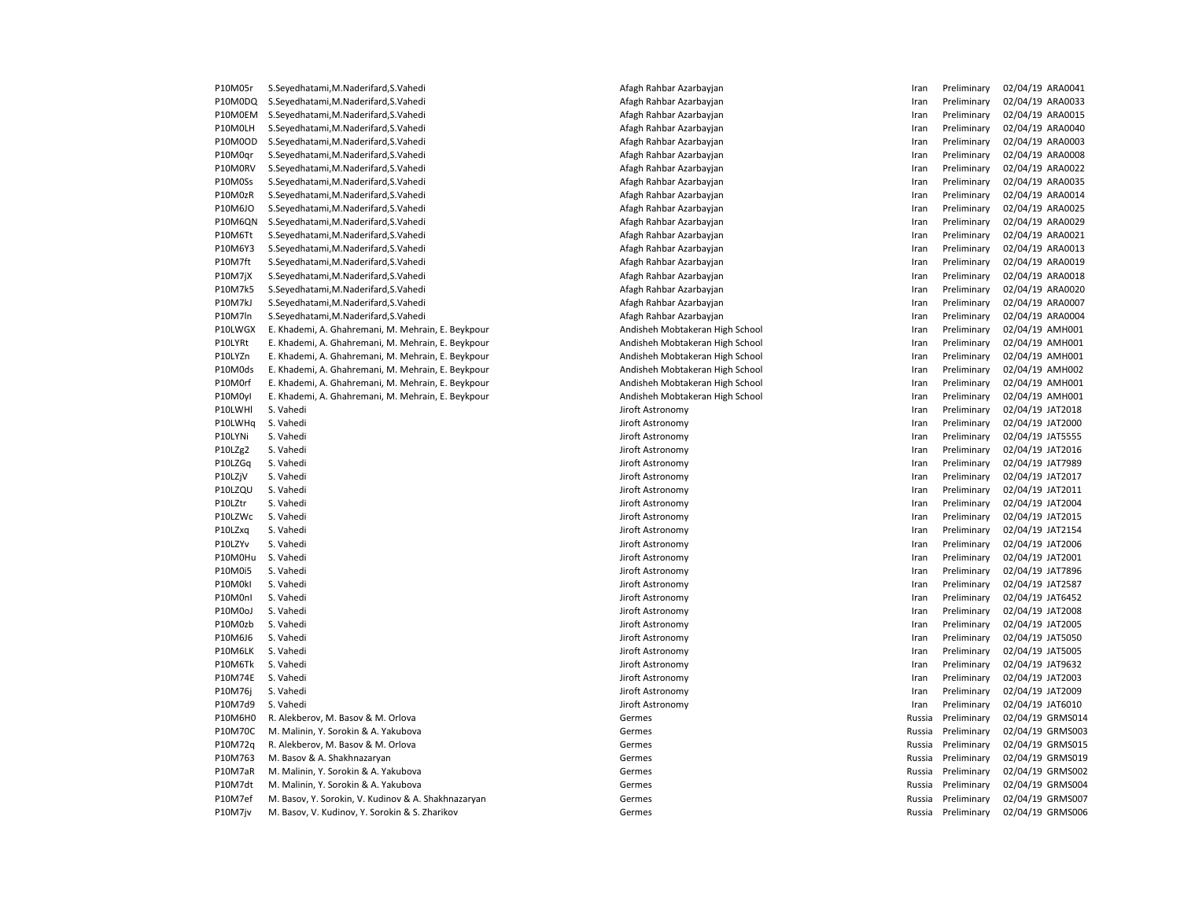| <b>PIUNUST</b> | S.Seyedhatami,M.Naderifard,S.Vaned                  | Afagh Kanbar Azarbayjan         | ıran          | Preliminary        | UZ/U4/19 AKAUU41   |
|----------------|-----------------------------------------------------|---------------------------------|---------------|--------------------|--------------------|
| P10M0DQ        | S.Seyedhatami, M.Naderifard, S.Vahedi               | Afagh Rahbar Azarbayjan         | Iran          | Preliminary        | 02/04/19 ARA0033   |
| P10M0EM        | S.Seyedhatami, M.Naderifard, S.Vahedi               | Afagh Rahbar Azarbayjan         | Iran          | Preliminary        | 02/04/19 ARA0015   |
| P10M0LH        | S.Seyedhatami, M.Naderifard, S.Vahedi               | Afagh Rahbar Azarbayjan         | Iran          | Preliminary        | 02/04/19 ARA0040   |
| P10M0OD        | S.Seyedhatami, M.Naderifard, S.Vahedi               | Afagh Rahbar Azarbayjan         | Iran          | Preliminary        | 02/04/19 ARA0003   |
| P10M0qr        | S.Seyedhatami, M.Naderifard, S.Vahedi               | Afagh Rahbar Azarbayjan         | Iran          | Preliminary        | 02/04/19 ARA0008   |
| P10M0RV        | S.Seyedhatami, M.Naderifard, S.Vahedi               | Afagh Rahbar Azarbayjan         | Iran          | Preliminary        | 02/04/19 ARA0022   |
| P10M0Ss        | S.Seyedhatami, M.Naderifard, S.Vahedi               | Afagh Rahbar Azarbayjan         | Iran          | Preliminary        | 02/04/19 ARA0035   |
| P10M0zR        | S.Seyedhatami, M.Naderifard, S.Vahedi               | Afagh Rahbar Azarbayjan         | Iran          | Preliminary        | 02/04/19 ARA0014   |
| P10M6JO        | S.Seyedhatami, M.Naderifard, S.Vahedi               | Afagh Rahbar Azarbayjan         | Iran          | Preliminary        | 02/04/19 ARA0025   |
| <b>P10M6QN</b> | S.Seyedhatami, M.Naderifard, S.Vahedi               | Afagh Rahbar Azarbayjan         | Iran          | Preliminary        | 02/04/19 ARA0029   |
| P10M6Tt        | S.Seyedhatami, M.Naderifard, S.Vahedi               | Afagh Rahbar Azarbayjan         | Iran          | Preliminary        | 02/04/19 ARA0021   |
| P10M6Y3        | S.Seyedhatami, M.Naderifard, S.Vahedi               | Afagh Rahbar Azarbayjan         | Iran          | Preliminary        | 02/04/19 ARA0013   |
| P10M7ft        | S.Seyedhatami, M.Naderifard, S.Vahedi               | Afagh Rahbar Azarbayjan         | Iran          | Preliminary        | 02/04/19 ARA0019   |
| P10M7jX        | S.Seyedhatami, M.Naderifard, S.Vahedi               | Afagh Rahbar Azarbayjan         | Iran          | Preliminary        | 02/04/19 ARA0018   |
| P10M7k5        | S.Seyedhatami, M.Naderifard, S.Vahedi               | Afagh Rahbar Azarbayjan         | Iran          | Preliminary        | 02/04/19 ARA0020   |
| P10M7kJ        | S.Seyedhatami, M.Naderifard, S.Vahedi               | Afagh Rahbar Azarbayjan         | Iran          | Preliminary        | 02/04/19 ARA0007   |
| P10M7ln        | S.Seyedhatami, M.Naderifard, S.Vahedi               | Afagh Rahbar Azarbayjan         | Iran          | Preliminary        | 02/04/19 ARA0004   |
| P10LWGX        | E. Khademi, A. Ghahremani, M. Mehrain, E. Beykpour  | Andisheh Mobtakeran High School | Iran          | Preliminary        | 02/04/19 AMH001    |
| P10LYRt        | E. Khademi, A. Ghahremani, M. Mehrain, E. Beykpour  | Andisheh Mobtakeran High School | Iran          | Preliminary        | 02/04/19 AMH001    |
| P10LYZn        | E. Khademi, A. Ghahremani, M. Mehrain, E. Beykpour  | Andisheh Mobtakeran High School | Iran          | Preliminary        | 02/04/19 AMH001    |
| P10M0ds        | E. Khademi, A. Ghahremani, M. Mehrain, E. Beykpour  | Andisheh Mobtakeran High School | Iran          | Preliminary        | 02/04/19 AMH002    |
| P10M0rf        | E. Khademi, A. Ghahremani, M. Mehrain, E. Beykpour  | Andisheh Mobtakeran High School | Iran          | Preliminary        | 02/04/19 AMH001    |
| P10M0yl        | E. Khademi, A. Ghahremani, M. Mehrain, E. Beykpour  | Andisheh Mobtakeran High School | Iran          | Preliminary        | 02/04/19 AMH001    |
| P10LWHI        | S. Vahedi                                           | Jiroft Astronomy                | Iran          | Preliminary        | 02/04/19 JAT2018   |
| P10LWHq        | S. Vahedi                                           | Jiroft Astronomy                | Iran          | Preliminary        | 02/04/19 JAT2000   |
| P10LYNi        | S. Vahedi                                           | Jiroft Astronomy                | Iran          | Preliminary        | 02/04/19 JAT5555   |
| P10LZg2        | S. Vahedi                                           | Jiroft Astronomy                | Iran          | Preliminary        | 02/04/19 JAT2016   |
| P10LZGq        | S. Vahedi                                           | Jiroft Astronomy                | Iran          | Preliminary        | 02/04/19 JAT7989   |
| P10LZjV        | S. Vahedi                                           | Jiroft Astronomy                | Iran          | Preliminary        | 02/04/19 JAT2017   |
| P10LZQU        | S. Vahedi                                           | Jiroft Astronomy                | Iran          | Preliminary        | 02/04/19 JAT2011   |
| P10LZtr        | S. Vahedi                                           | Jiroft Astronomy                |               | Preliminary        | 02/04/19 JAT2004   |
| P10LZWc        | S. Vahedi                                           | Jiroft Astronomy                | Iran<br>Iran  | Preliminary        | 02/04/19 JAT2015   |
| P10LZxq        | S. Vahedi                                           | Jiroft Astronomy                | Iran          | Preliminary        | 02/04/19 JAT2154   |
|                | S. Vahedi                                           |                                 |               | Preliminary        |                    |
| P10LZYv        |                                                     | Jiroft Astronomy                | Iran          |                    | 02/04/19 JAT2006   |
| P10M0Hu        | S. Vahedi                                           | Jiroft Astronomy                | Iran          | Preliminary        | 02/04/19 JAT2001   |
| P10M0i5        | S. Vahedi                                           | Jiroft Astronomy                | Iran          | Preliminary        | 02/04/19 JAT7896   |
| P10M0kl        | S. Vahedi                                           | Jiroft Astronomy                | Iran          | Preliminary        | 02/04/19 JAT2587   |
| P10M0nl        | S. Vahedi                                           | Jiroft Astronomy                | Iran          | Preliminary        | 02/04/19 JAT6452   |
| P10M0oJ        | S. Vahedi                                           | Jiroft Astronomy                | Iran          | Preliminary        | 02/04/19 JAT2008   |
| P10M0zb        | S. Vahedi                                           | Jiroft Astronomy                | Iran          | Preliminary        | 02/04/19 JAT2005   |
| P10M6J6        | S. Vahedi                                           | Jiroft Astronomy                | Iran          | Preliminary        | 02/04/19 JAT5050   |
| P10M6LK        | S. Vahedi                                           | Jiroft Astronomy                | Iran          | Preliminary        | 02/04/19 JAT5005   |
| P10M6Tk        | S. Vahedi                                           | Jiroft Astronomy                | Iran          | Preliminary        | 02/04/19 JAT9632   |
| P10M74E        | S. Vahedi                                           | Jiroft Astronomy                | Iran          | Preliminary        | 02/04/19 JAT2003   |
| P10M76j        | S. Vahedi                                           | Jiroft Astronomy                | Iran          | Preliminary        | 02/04/19 JAT2009   |
| P10M7d9        | S. Vahedi                                           | Jiroft Astronomy                | Iran          | Preliminary        | 02/04/19 JAT6010   |
| P10M6H0        | R. Alekberov, M. Basov & M. Orlova                  | Germes                          | Russia        | Preliminary        | 02/04/19 GRMS014   |
| <b>P10M70C</b> | M. Malinin, Y. Sorokin & A. Yakubova                | Germes                          | Russia        | Preliminary        | 02/04/19 GRMS003   |
| P10M72q        | R. Alekberov, M. Basov & M. Orlova                  | Germes                          | Russia        | Preliminary        | 02/04/19 GRMS015   |
| P10M763        | M. Basov & A. Shakhnazaryan                         | Germes                          | Russia        | Preliminary        | 02/04/19 GRMS019   |
| P10M7aR        | M. Malinin, Y. Sorokin & A. Yakubova                | Germes                          | Russia        | Preliminary        | 02/04/19 GRMS002   |
| P10M7dt        | M. Malinin, Y. Sorokin & A. Yakubova                | Germes                          | Russia        | Preliminary        | 02/04/19 GRMS004   |
| P10M7ef        | M. Basov, Y. Sorokin, V. Kudinov & A. Shakhnazaryan | Germes                          | Russia        | Preliminary        | 02/04/19 GRMS007   |
| D10M7iv        | M Rasov V Kudinov V Sorokin & S Zharikov            | Germes                          | <b>Ruccia</b> | <b>Proliminary</b> | $02/04/19$ GRMS006 |

| <b>TOIAIO</b>      | 3.3Cycanatami,ivi.ivaacinara,3.vanca                | Alagii Ivalibal Azarbay              |              | ,,,,,,,,,,,,,,, | $UL/UT/LU$ $M1$                      |
|--------------------|-----------------------------------------------------|--------------------------------------|--------------|-----------------|--------------------------------------|
|                    | P10M0DQ S.Seyedhatami,M.Naderifard,S.Vahedi         | Afagh Rahbar Azarbayjan              | Iran         | Preliminary     | 02/04/19 ARA0033                     |
| P10M0EM            | S.Seyedhatami, M.Naderifard, S.Vahedi               | Afagh Rahbar Azarbayjan              | Iran         | Preliminary     | 02/04/19 ARA0015                     |
| P10M0LH            | S.Seyedhatami, M.Naderifard, S.Vahedi               | Afagh Rahbar Azarbayjan              | Iran         | Preliminary     | 02/04/19 ARA0040                     |
| P10M0OD            | S.Seyedhatami, M.Naderifard, S.Vahedi               | Afagh Rahbar Azarbayjan              | Iran         | Preliminary     | 02/04/19 ARA0003                     |
| P10M0qr            | S.Seyedhatami, M.Naderifard, S.Vahedi               | Afagh Rahbar Azarbayjan              | Iran         | Preliminary     | 02/04/19 ARA0008                     |
| P10M0RV            | S.Seyedhatami, M.Naderifard, S.Vahedi               | Afagh Rahbar Azarbayjan              | Iran         | Preliminary     | 02/04/19 ARA0022                     |
| P10M0Ss            | S.Seyedhatami, M.Naderifard, S.Vahedi               | Afagh Rahbar Azarbayjan              | Iran         | Preliminary     | 02/04/19 ARA0035                     |
| P10M0zR            | S.Seyedhatami, M.Naderifard, S.Vahedi               | Afagh Rahbar Azarbayjan              | Iran         | Preliminary     | 02/04/19 ARA0014                     |
| P10M6JO            | S.Seyedhatami, M.Naderifard, S.Vahedi               | Afagh Rahbar Azarbayjan              | Iran         | Preliminary     | 02/04/19 ARA0025                     |
| P10M6QN            | S.Seyedhatami, M.Naderifard, S.Vahedi               | Afagh Rahbar Azarbayjan              | Iran         | Preliminary     | 02/04/19 ARA0029                     |
| P10M6Tt            | S.Seyedhatami, M.Naderifard, S.Vahedi               | Afagh Rahbar Azarbayjan              | Iran         | Preliminary     | 02/04/19 ARA0021                     |
| P10M6Y3            | S.Seyedhatami, M.Naderifard, S.Vahedi               | Afagh Rahbar Azarbayjan              | Iran         | Preliminary     | 02/04/19 ARA0013                     |
| P10M7ft            | S.Seyedhatami, M.Naderifard, S.Vahedi               | Afagh Rahbar Azarbayjan              | Iran         | Preliminary     | 02/04/19 ARA0019                     |
| P10M7jX            | S.Seyedhatami, M.Naderifard, S.Vahedi               | Afagh Rahbar Azarbayjan              | Iran         | Preliminary     | 02/04/19 ARA0018                     |
| P10M7k5            | S.Seyedhatami, M.Naderifard, S.Vahedi               | Afagh Rahbar Azarbayjan              | Iran         | Preliminary     | 02/04/19 ARA0020                     |
| P10M7kJ            | S.Seyedhatami, M.Naderifard, S.Vahedi               | Afagh Rahbar Azarbayjan              | Iran         | Preliminary     | 02/04/19 ARA0007                     |
| P10M7ln            | S.Seyedhatami, M.Naderifard, S.Vahedi               | Afagh Rahbar Azarbayjan              | Iran         | Preliminary     | 02/04/19 ARA0004                     |
| P10LWGX            | E. Khademi, A. Ghahremani, M. Mehrain, E. Beykpour  | Andisheh Mobtakeran High School      | Iran         | Preliminary     | 02/04/19 AMH001                      |
| P10LYRt            | E. Khademi, A. Ghahremani, M. Mehrain, E. Beykpour  | Andisheh Mobtakeran High School      | Iran         | Preliminary     | 02/04/19 AMH001                      |
| P10LYZn            | E. Khademi, A. Ghahremani, M. Mehrain, E. Beykpour  | Andisheh Mobtakeran High School      | Iran         | Preliminary     | 02/04/19 AMH001                      |
| P10M0ds            | E. Khademi, A. Ghahremani, M. Mehrain, E. Beykpour  | Andisheh Mobtakeran High School      | Iran         | Preliminary     | 02/04/19 AMH002                      |
| P10M0rf            | E. Khademi, A. Ghahremani, M. Mehrain, E. Beykpour  | Andisheh Mobtakeran High School      | Iran         | Preliminary     | 02/04/19 AMH001                      |
| P10M0yl            | E. Khademi, A. Ghahremani, M. Mehrain, E. Beykpour  | Andisheh Mobtakeran High School      | Iran         | Preliminary     | 02/04/19 AMH001                      |
| P10LWHI            | S. Vahedi                                           | Jiroft Astronomy                     | Iran         | Preliminary     | 02/04/19 JAT2018                     |
| P10LWHq            | S. Vahedi                                           | Jiroft Astronomy                     | Iran         | Preliminary     | 02/04/19 JAT2000                     |
| P10LYNi            | S. Vahedi                                           | Jiroft Astronomy                     | Iran         | Preliminary     | 02/04/19 JAT5555                     |
| P10LZg2            | S. Vahedi                                           | Jiroft Astronomy                     | Iran         | Preliminary     | 02/04/19 JAT2016                     |
| P10LZGq            | S. Vahedi                                           | Jiroft Astronomy                     | Iran         | Preliminary     | 02/04/19 JAT7989                     |
| P10LZjV            | S. Vahedi                                           | Jiroft Astronomy                     | Iran         | Preliminary     | 02/04/19 JAT2017                     |
| P10LZQU            | S. Vahedi                                           | Jiroft Astronomy                     | Iran         | Preliminary     | 02/04/19 JAT2011                     |
| P10LZtr            | S. Vahedi                                           | Jiroft Astronomy                     | Iran         | Preliminary     | 02/04/19 JAT2004                     |
| P10LZWc            | S. Vahedi                                           | Jiroft Astronomy                     | Iran         | Preliminary     | 02/04/19 JAT2015                     |
| P10LZxq            | S. Vahedi                                           | Jiroft Astronomy                     | Iran         | Preliminary     | 02/04/19 JAT2154                     |
| P10LZYv            | S. Vahedi                                           | Jiroft Astronomy                     | Iran         | Preliminary     | 02/04/19 JAT2006                     |
| P10M0Hu            | S. Vahedi                                           | Jiroft Astronomy                     | Iran         | Preliminary     | 02/04/19 JAT2001                     |
| P10M0i5            | S. Vahedi                                           | Jiroft Astronomy                     | Iran         | Preliminary     | 02/04/19 JAT7896                     |
| P10M0kl            | S. Vahedi                                           |                                      |              | Preliminary     | 02/04/19 JAT2587                     |
| P10M0nl            | S. Vahedi                                           | Jiroft Astronomy<br>Jiroft Astronomy | Iran<br>Iran | Preliminary     | 02/04/19 JAT6452                     |
| P10M0oJ            | S. Vahedi                                           | Jiroft Astronomy                     | Iran         | Preliminary     | 02/04/19 JAT2008                     |
| P10M0zb            | S. Vahedi                                           | Jiroft Astronomy                     |              | Preliminary     | 02/04/19 JAT2005                     |
| P10M6J6            | S. Vahedi                                           | Jiroft Astronomy                     | Iran         | Preliminary     | 02/04/19 JAT5050                     |
|                    |                                                     |                                      | Iran         |                 |                                      |
| P10M6LK            | S. Vahedi                                           | Jiroft Astronomy                     | Iran         | Preliminary     | 02/04/19 JAT5005                     |
| P10M6Tk            | S. Vahedi                                           | Jiroft Astronomy                     | Iran         | Preliminary     | 02/04/19 JAT9632                     |
| P10M74E            | S. Vahedi                                           | Jiroft Astronomy                     | Iran         | Preliminary     | 02/04/19 JAT2003                     |
| P10M76j<br>P10M7d9 | S. Vahedi                                           | Jiroft Astronomy                     | Iran         | Preliminary     | 02/04/19 JAT2009                     |
|                    | S. Vahedi                                           | Jiroft Astronomy                     | Iran         | Preliminary     | 02/04/19 JAT6010                     |
| P10M6H0<br>P10M70C | R. Alekberov, M. Basov & M. Orlova                  | Germes                               | Russia       | Preliminary     | 02/04/19 GRMS014                     |
|                    | M. Malinin, Y. Sorokin & A. Yakubova                | Germes                               | Russia       | Preliminary     | 02/04/19 GRMS003                     |
| P10M72q            | R. Alekberov, M. Basov & M. Orlova                  | Germes                               | Russia       | Preliminary     | 02/04/19 GRMS015<br>02/04/19 GRMS019 |
| P10M763            | M. Basov & A. Shakhnazaryan                         | Germes                               | Russia       | Preliminary     |                                      |
| P10M7aR            | M. Malinin, Y. Sorokin & A. Yakubova                | Germes                               | Russia       | Preliminary     | 02/04/19 GRMS002                     |
| P10M7dt            | M. Malinin, Y. Sorokin & A. Yakubova                | Germes                               | Russia       | Preliminary     | 02/04/19 GRMS004<br>02/04/19 GRMS007 |
| P10M7ef            | M. Basov, Y. Sorokin, V. Kudinov & A. Shakhnazaryan | Germes                               | Russia       | Preliminary     |                                      |
| P10M7jv            | M. Basov, V. Kudinov, Y. Sorokin & S. Zharikov      | Germes                               | Russia       | Preliminary     | 02/04/19 GRMS006                     |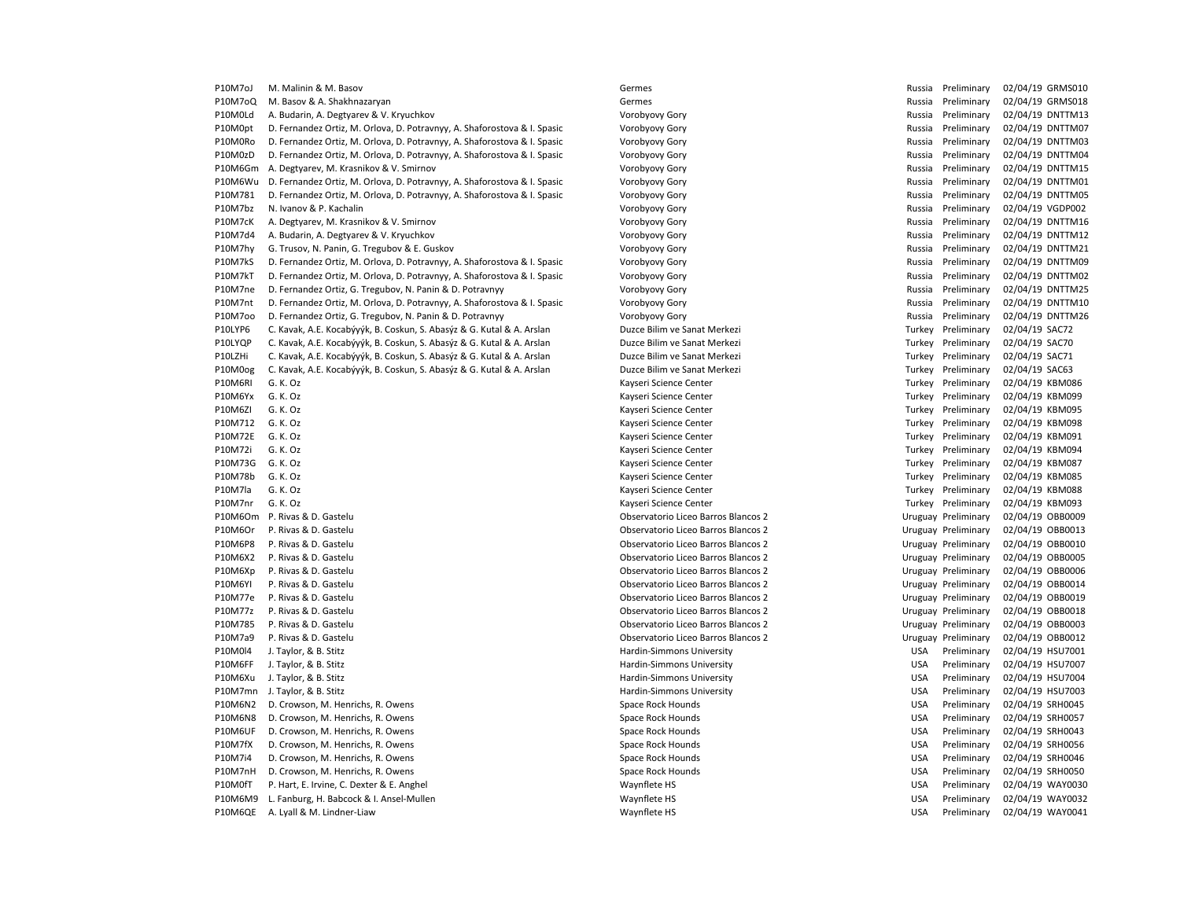| P10M7oJ        | M. Malinin & M. Basov                                                    | Germes                              | Russia     | Preliminary         | 02/04/19 GRMS010 |
|----------------|--------------------------------------------------------------------------|-------------------------------------|------------|---------------------|------------------|
| P10M7oQ        | M. Basov & A. Shakhnazaryan                                              | Germes                              | Russia     | Preliminary         | 02/04/19 GRMS018 |
| P10M0Ld        | A. Budarin, A. Degtyarev & V. Kryuchkov                                  | Vorobyovy Gory                      | Russia     | Preliminary         | 02/04/19 DNTTM13 |
| P10M0pt        | D. Fernandez Ortiz, M. Orlova, D. Potravnyy, A. Shaforostova & I. Spasic | Vorobyovy Gory                      | Russia     | Preliminary         | 02/04/19 DNTTM07 |
| P10M0Ro        | D. Fernandez Ortiz, M. Orlova, D. Potravnyy, A. Shaforostova & I. Spasic | Vorobyovy Gory                      | Russia     | Preliminary         | 02/04/19 DNTTM03 |
| P10M0zD        | D. Fernandez Ortiz, M. Orlova, D. Potravnyy, A. Shaforostova & I. Spasic | Vorobyovy Gory                      | Russia     | Preliminary         | 02/04/19 DNTTM04 |
| P10M6Gm        | A. Degtyarev, M. Krasnikov & V. Smirnov                                  | Vorobyovy Gory                      | Russia     | Preliminary         | 02/04/19 DNTTM15 |
| P10M6Wu        | D. Fernandez Ortiz, M. Orlova, D. Potravnyy, A. Shaforostova & I. Spasic | Vorobyovy Gory                      | Russia     | Preliminary         | 02/04/19 DNTTM01 |
| P10M781        | D. Fernandez Ortiz, M. Orlova, D. Potravnyy, A. Shaforostova & I. Spasic | Vorobyovy Gory                      | Russia     | Preliminary         | 02/04/19 DNTTM05 |
| P10M7bz        | N. Ivanov & P. Kachalin                                                  | Vorobyovy Gory                      | Russia     | Preliminary         | 02/04/19 VGDP002 |
| P10M7cK        | A. Degtyarev, M. Krasnikov & V. Smirnov                                  | Vorobyovy Gory                      | Russia     | Preliminary         | 02/04/19 DNTTM16 |
| P10M7d4        | A. Budarin, A. Degtyarev & V. Kryuchkov                                  | Vorobyovy Gory                      | Russia     | Preliminary         | 02/04/19 DNTTM12 |
| P10M7hy        | G. Trusov, N. Panin, G. Tregubov & E. Guskov                             | Vorobyovy Gory                      | Russia     | Preliminary         | 02/04/19 DNTTM21 |
| P10M7kS        | D. Fernandez Ortiz, M. Orlova, D. Potravnyy, A. Shaforostova & I. Spasic | Vorobyovy Gory                      | Russia     | Preliminary         | 02/04/19 DNTTM09 |
| P10M7kT        | D. Fernandez Ortiz, M. Orlova, D. Potravnyy, A. Shaforostova & I. Spasic | Vorobyovy Gory                      | Russia     | Preliminary         | 02/04/19 DNTTM02 |
| P10M7ne        | D. Fernandez Ortiz, G. Tregubov, N. Panin & D. Potravnyy                 | Vorobyovy Gory                      | Russia     | Preliminary         | 02/04/19 DNTTM25 |
| P10M7nt        | D. Fernandez Ortiz, M. Orlova, D. Potravnyy, A. Shaforostova & I. Spasic | Vorobyovy Gory                      | Russia     | Preliminary         | 02/04/19 DNTTM10 |
| P10M7oo        | D. Fernandez Ortiz, G. Tregubov, N. Panin & D. Potravnyy                 | Vorobyovy Gory                      | Russia     | Preliminary         | 02/04/19 DNTTM26 |
| P10LYP6        | C. Kavak, A.E. Kocabýyýk, B. Coskun, S. Abasýz & G. Kutal & A. Arslan    | Duzce Bilim ve Sanat Merkezi        | Turkey     | Preliminary         | 02/04/19 SAC72   |
| P10LYQP        | C. Kavak, A.E. Kocabýyýk, B. Coskun, S. Abasýz & G. Kutal & A. Arslan    | Duzce Bilim ve Sanat Merkezi        | Turkey     | Preliminary         | 02/04/19 SAC70   |
| P10LZHi        | C. Kavak, A.E. Kocabýyýk, B. Coskun, S. Abasýz & G. Kutal & A. Arslan    | Duzce Bilim ve Sanat Merkezi        | Turkey     | Preliminary         | 02/04/19 SAC71   |
| P10M0og        | C. Kavak, A.E. Kocabýyýk, B. Coskun, S. Abasýz & G. Kutal & A. Arslan    | Duzce Bilim ve Sanat Merkezi        |            | Turkey Preliminary  | 02/04/19 SAC63   |
| P10M6RI        | G. K. Oz                                                                 | Kayseri Science Center              |            | Turkey Preliminary  | 02/04/19 KBM086  |
| P10M6Yx        | G. K. Oz                                                                 | Kayseri Science Center              | Turkey     | Preliminary         | 02/04/19 KBM099  |
| P10M6ZI        | G. K. Oz                                                                 | Kayseri Science Center              |            | Turkey Preliminary  | 02/04/19 KBM095  |
| P10M712        | G. K. Oz                                                                 | Kayseri Science Center              | Turkey     | Preliminary         | 02/04/19 KBM098  |
| P10M72E        | G. K. Oz                                                                 | Kayseri Science Center              |            | Turkey Preliminary  | 02/04/19 KBM091  |
| P10M72i        | G. K. Oz                                                                 | Kayseri Science Center              | Turkey     | Preliminary         | 02/04/19 KBM094  |
| P10M73G        | G. K. Oz                                                                 | Kayseri Science Center              |            | Turkey Preliminary  | 02/04/19 KBM087  |
| P10M78b        | G. K. Oz                                                                 | Kayseri Science Center              |            | Turkey Preliminary  | 02/04/19 KBM085  |
| P10M7la        | G. K. Oz                                                                 | Kayseri Science Center              |            | Turkey Preliminary  | 02/04/19 KBM088  |
| P10M7nr        | G. K. Oz                                                                 | Kayseri Science Center              | Turkey     | Preliminary         | 02/04/19 KBM093  |
| P10M6Om        | P. Rivas & D. Gastelu                                                    | Observatorio Liceo Barros Blancos 2 |            | Uruguay Preliminary | 02/04/19 OBB0009 |
| P10M6Or        | P. Rivas & D. Gastelu                                                    | Observatorio Liceo Barros Blancos 2 |            | Uruguay Preliminary | 02/04/19 OBB0013 |
| P10M6P8        | P. Rivas & D. Gastelu                                                    | Observatorio Liceo Barros Blancos 2 |            | Uruguay Preliminary | 02/04/19 OBB0010 |
| P10M6X2        | P. Rivas & D. Gastelu                                                    | Observatorio Liceo Barros Blancos 2 |            | Uruguay Preliminary | 02/04/19 OBB0005 |
| P10M6Xp        | P. Rivas & D. Gastelu                                                    | Observatorio Liceo Barros Blancos 2 |            | Uruguay Preliminary | 02/04/19 OBB0006 |
| <b>P10M6YI</b> | P. Rivas & D. Gastelu                                                    | Observatorio Liceo Barros Blancos 2 |            | Uruguay Preliminary | 02/04/19 OBB0014 |
| P10M77e        | P. Rivas & D. Gastelu                                                    | Observatorio Liceo Barros Blancos 2 |            | Uruguay Preliminary | 02/04/19 OBB0019 |
| P10M77z        | P. Rivas & D. Gastelu                                                    | Observatorio Liceo Barros Blancos 2 |            | Uruguay Preliminary | 02/04/19 OBB0018 |
| P10M785        | P. Rivas & D. Gastelu                                                    | Observatorio Liceo Barros Blancos 2 |            | Uruguay Preliminary | 02/04/19 OBB0003 |
| P10M7a9        | P. Rivas & D. Gastelu                                                    | Observatorio Liceo Barros Blancos 2 |            | Uruguay Preliminary | 02/04/19 OBB0012 |
| P10M0l4        | J. Taylor, & B. Stitz                                                    | Hardin-Simmons University           | USA        | Preliminary         | 02/04/19 HSU7001 |
| P10M6FF        | J. Taylor, & B. Stitz                                                    | Hardin-Simmons University           | <b>USA</b> | Preliminary         | 02/04/19 HSU7007 |
| P10M6Xu        | J. Taylor, & B. Stitz                                                    | Hardin-Simmons University           | <b>USA</b> | Preliminary         | 02/04/19 HSU7004 |
| P10M7mn        | J. Taylor, & B. Stitz                                                    | Hardin-Simmons University           | <b>USA</b> | Preliminary         | 02/04/19 HSU7003 |
| P10M6N2        | D. Crowson, M. Henrichs, R. Owens                                        | Space Rock Hounds                   | <b>USA</b> | Preliminary         | 02/04/19 SRH0045 |
| P10M6N8        |                                                                          |                                     | <b>USA</b> | Preliminary         | 02/04/19 SRH0057 |
|                | D. Crowson, M. Henrichs, R. Owens                                        | Space Rock Hounds                   |            |                     |                  |
| P10M6UF        | D. Crowson, M. Henrichs, R. Owens                                        | Space Rock Hounds                   | <b>USA</b> | Preliminary         | 02/04/19 SRH0043 |
| P10M7fX        | D. Crowson, M. Henrichs, R. Owens                                        | Space Rock Hounds                   | USA        | Preliminary         | 02/04/19 SRH0056 |
| P10M7i4        | D. Crowson, M. Henrichs, R. Owens                                        | Space Rock Hounds                   | <b>USA</b> | Preliminary         | 02/04/19 SRH0046 |
| P10M7nH        | D. Crowson, M. Henrichs, R. Owens                                        | Space Rock Hounds                   | <b>USA</b> | Preliminary         | 02/04/19 SRH0050 |
| P10M0fT        | P. Hart, E. Irvine, C. Dexter & E. Anghel                                | Waynflete HS                        | <b>USA</b> | Preliminary         | 02/04/19 WAY0030 |
| P10M6M9        | L. Fanburg, H. Babcock & I. Ansel-Mullen                                 | Waynflete HS                        | <b>USA</b> | Preliminary         | 02/04/19 WAY0032 |
| P10M6QE        | A. Lyall & M. Lindner-Liaw                                               | Waynflete HS                        | <b>USA</b> | Preliminary         | 02/04/19 WAY0041 |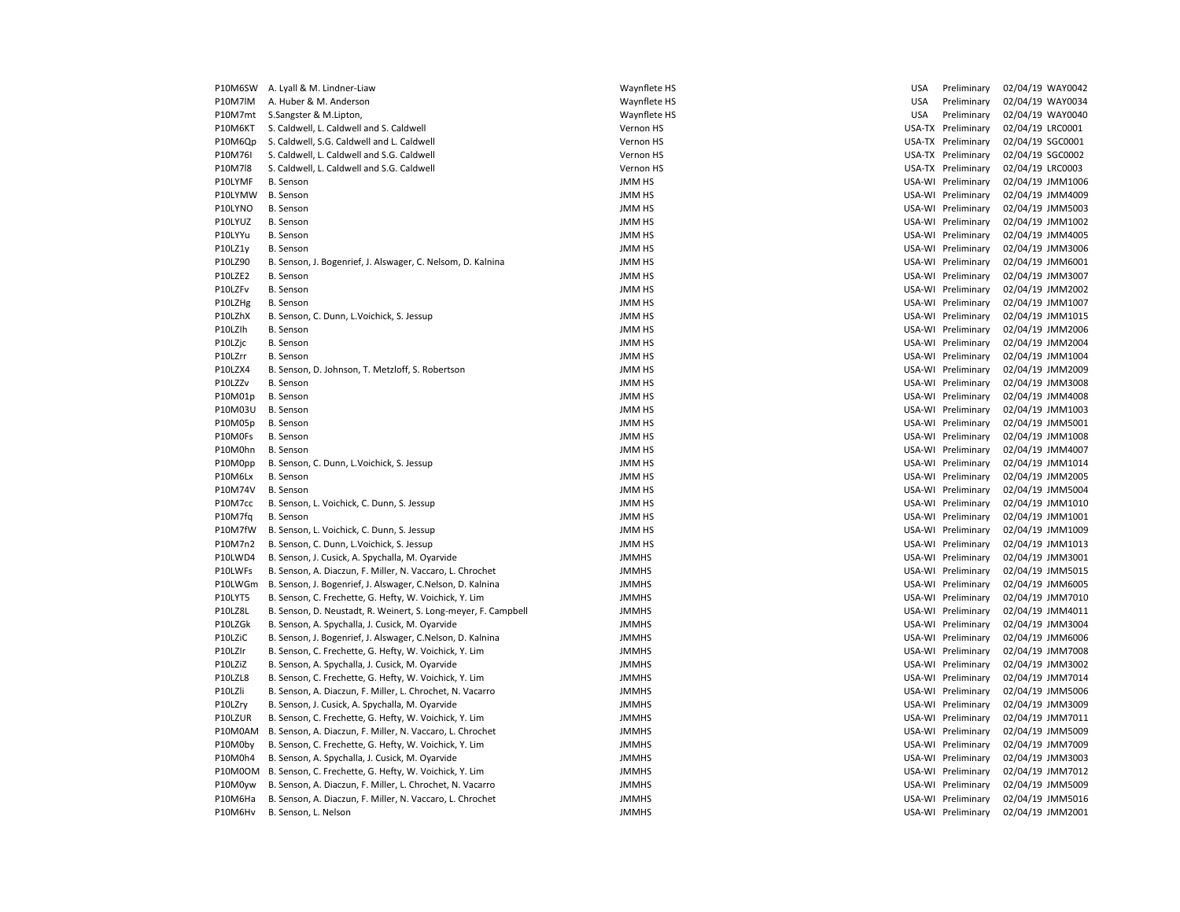| P10M6SW            | A. Lyall & M. Lindner-Liaw                                     | Waynflete HS  | USA        | Preliminary        | 02/04/19 WAY0042 |
|--------------------|----------------------------------------------------------------|---------------|------------|--------------------|------------------|
| P10M7IM            | A. Huber & M. Anderson                                         | Waynflete HS  | <b>USA</b> | Preliminary        | 02/04/19 WAY0034 |
| P10M7mt            | S.Sangster & M.Lipton,                                         | Waynflete HS  | <b>USA</b> | Preliminary        | 02/04/19 WAY0040 |
| P10M6KT            | S. Caldwell, L. Caldwell and S. Caldwell                       | Vernon HS     |            | USA-TX Preliminary | 02/04/19 LRC0001 |
| P10M6Qp            | S. Caldwell, S.G. Caldwell and L. Caldwell                     | Vernon HS     |            | USA-TX Preliminary | 02/04/19 SGC0001 |
| P10M76I            | S. Caldwell, L. Caldwell and S.G. Caldwell                     | Vernon HS     |            | USA-TX Preliminary | 02/04/19 SGC0002 |
| P10M7l8            | S. Caldwell, L. Caldwell and S.G. Caldwell                     | Vernon HS     |            | USA-TX Preliminary | 02/04/19 LRC0003 |
| P10LYMF            | <b>B.</b> Senson                                               | JMM HS        |            | USA-WI Preliminary | 02/04/19 JMM1006 |
| P10LYMW            | <b>B.</b> Senson                                               | <b>JMM HS</b> |            | USA-WI Preliminary | 02/04/19 JMM4009 |
| P10LYNO            | <b>B.</b> Senson                                               | JMM HS        |            | USA-WI Preliminary | 02/04/19 JMM5003 |
| P10LYUZ            | <b>B.</b> Senson                                               | <b>JMM HS</b> |            | USA-WI Preliminary | 02/04/19 JMM1002 |
| P10LYYu            | <b>B.</b> Senson                                               | <b>JMM HS</b> |            | USA-WI Preliminary | 02/04/19 JMM4005 |
| P10LZ1y            | <b>B.</b> Senson                                               | <b>JMM HS</b> |            | USA-WI Preliminary | 02/04/19 JMM3006 |
| P10LZ90            | B. Senson, J. Bogenrief, J. Alswager, C. Nelsom, D. Kalnina    | <b>JMM HS</b> |            | USA-WI Preliminary | 02/04/19 JMM6001 |
| P10LZE2            | <b>B.</b> Senson                                               | <b>JMM HS</b> |            | USA-WI Preliminary | 02/04/19 JMM3007 |
| P10LZFv            | <b>B.</b> Senson                                               | <b>JMM HS</b> |            | USA-WI Preliminary | 02/04/19 JMM2002 |
| P10LZHg            | <b>B.</b> Senson                                               | <b>JMM HS</b> |            | USA-WI Preliminary | 02/04/19 JMM1007 |
| P10LZhX            | B. Senson, C. Dunn, L. Voichick, S. Jessup                     | <b>JMM HS</b> |            | USA-WI Preliminary | 02/04/19 JMM1015 |
| P10LZIh            | <b>B.</b> Senson                                               | <b>JMM HS</b> |            | USA-WI Preliminary | 02/04/19 JMM2006 |
| P10LZjc            | B. Senson                                                      | <b>JMM HS</b> |            | USA-WI Preliminary | 02/04/19 JMM2004 |
| P10LZrr            | <b>B.</b> Senson                                               | JMM HS        |            | USA-WI Preliminary | 02/04/19 JMM1004 |
| P10LZX4            | B. Senson, D. Johnson, T. Metzloff, S. Robertson               | <b>JMM HS</b> |            | USA-WI Preliminary | 02/04/19 JMM2009 |
| P10LZZv            | <b>B.</b> Senson                                               | <b>JMM HS</b> |            | USA-WI Preliminary | 02/04/19 JMM3008 |
| P10M01p            | <b>B.</b> Senson                                               | <b>JMM HS</b> |            | USA-WI Preliminary | 02/04/19 JMM4008 |
| P10M03U            | <b>B.</b> Senson                                               | <b>JMM HS</b> |            | USA-WI Preliminary | 02/04/19 JMM1003 |
| P10M05p            | <b>B.</b> Senson                                               | <b>JMM HS</b> |            | USA-WI Preliminary | 02/04/19 JMM5001 |
| P10M0Fs            | <b>B.</b> Senson                                               | <b>JMM HS</b> |            | USA-WI Preliminary | 02/04/19 JMM1008 |
| P10M0hn            | <b>B.</b> Senson                                               | <b>JMM HS</b> |            | USA-WI Preliminary | 02/04/19 JMM4007 |
| P10M0pp            | B. Senson, C. Dunn, L. Voichick, S. Jessup                     | <b>JMM HS</b> |            | USA-WI Preliminary | 02/04/19 JMM1014 |
| P10M6Lx            | <b>B.</b> Senson                                               | <b>JMM HS</b> |            | USA-WI Preliminary | 02/04/19 JMM2005 |
| P10M74V            | <b>B.</b> Senson                                               | <b>JMM HS</b> |            | USA-WI Preliminary | 02/04/19 JMM5004 |
| P10M7cc            | B. Senson, L. Voichick, C. Dunn, S. Jessup                     | JMM HS        |            | USA-WI Preliminary | 02/04/19 JMM1010 |
|                    | <b>B.</b> Senson                                               | <b>JMM HS</b> |            | USA-WI Preliminary | 02/04/19 JMM1001 |
| P10M7fq<br>P10M7fW | B. Senson, L. Voichick, C. Dunn, S. Jessup                     | <b>JMM HS</b> |            | USA-WI Preliminary | 02/04/19 JMM1009 |
| P10M7n2            | B. Senson, C. Dunn, L. Voichick, S. Jessup                     | <b>JMM HS</b> |            | USA-WI Preliminary | 02/04/19 JMM1013 |
|                    |                                                                |               |            |                    |                  |
| P10LWD4            | B. Senson, J. Cusick, A. Spychalla, M. Oyarvide                | <b>JMMHS</b>  |            | USA-WI Preliminary | 02/04/19 JMM3001 |
| P10LWFs            | B. Senson, A. Diaczun, F. Miller, N. Vaccaro, L. Chrochet      | <b>JMMHS</b>  |            | USA-WI Preliminary | 02/04/19 JMM5015 |
| P10LWGm            | B. Senson, J. Bogenrief, J. Alswager, C.Nelson, D. Kalnina     | <b>JMMHS</b>  |            | USA-WI Preliminary | 02/04/19 JMM6005 |
| P10LYT5            | B. Senson, C. Frechette, G. Hefty, W. Voichick, Y. Lim         | <b>JMMHS</b>  |            | USA-WI Preliminary | 02/04/19 JMM7010 |
| P10LZ8L            | B. Senson, D. Neustadt, R. Weinert, S. Long-meyer, F. Campbell | <b>JMMHS</b>  |            | USA-WI Preliminary | 02/04/19 JMM4011 |
| P10LZGk            | B. Senson, A. Spychalla, J. Cusick, M. Oyarvide                | <b>JMMHS</b>  |            | USA-WI Preliminary | 02/04/19 JMM3004 |
| P10LZiC            | B. Senson, J. Bogenrief, J. Alswager, C.Nelson, D. Kalnina     | <b>JMMHS</b>  |            | USA-WI Preliminary | 02/04/19 JMM6006 |
| P10LZIr            | B. Senson, C. Frechette, G. Hefty, W. Voichick, Y. Lim         | <b>JMMHS</b>  |            | USA-WI Preliminary | 02/04/19 JMM7008 |
| P10LZiZ            | B. Senson, A. Spychalla, J. Cusick, M. Oyarvide                | <b>JMMHS</b>  |            | USA-WI Preliminary | 02/04/19 JMM3002 |
| P10LZL8            | B. Senson, C. Frechette, G. Hefty, W. Voichick, Y. Lim         | <b>JMMHS</b>  |            | USA-WI Preliminary | 02/04/19 JMM7014 |
| P10LZli            | B. Senson, A. Diaczun, F. Miller, L. Chrochet, N. Vacarro      | <b>JMMHS</b>  |            | USA-WI Preliminary | 02/04/19 JMM5006 |
| P10LZry            | B. Senson, J. Cusick, A. Spychalla, M. Oyarvide                | <b>JMMHS</b>  |            | USA-WI Preliminary | 02/04/19 JMM3009 |
| P10LZUR            | B. Senson, C. Frechette, G. Hefty, W. Voichick, Y. Lim         | <b>JMMHS</b>  |            | USA-WI Preliminary | 02/04/19 JMM7011 |
| P10M0AM            | B. Senson, A. Diaczun, F. Miller, N. Vaccaro, L. Chrochet      | <b>JMMHS</b>  |            | USA-WI Preliminary | 02/04/19 JMM5009 |
| P10M0by            | B. Senson, C. Frechette, G. Hefty, W. Voichick, Y. Lim         | <b>JMMHS</b>  |            | USA-WI Preliminary | 02/04/19 JMM7009 |
| P10M0h4            | B. Senson, A. Spychalla, J. Cusick, M. Oyarvide                | <b>JMMHS</b>  |            | USA-WI Preliminary | 02/04/19 JMM3003 |
| P10M0OM            | B. Senson, C. Frechette, G. Hefty, W. Voichick, Y. Lim         | <b>JMMHS</b>  |            | USA-WI Preliminary | 02/04/19 JMM7012 |
| P10M0yw            | B. Senson, A. Diaczun, F. Miller, L. Chrochet, N. Vacarro      | <b>JMMHS</b>  |            | USA-WI Preliminary | 02/04/19 JMM5009 |
| P10M6Ha            | B. Senson, A. Diaczun, F. Miller, N. Vaccaro, L. Chrochet      | <b>JMMHS</b>  |            | USA-WI Preliminary | 02/04/19 JMM5016 |
| P10M6Hv            | B. Senson, L. Nelson                                           | <b>JMMHS</b>  |            | USA-WI Preliminary | 02/04/19 JMM2001 |